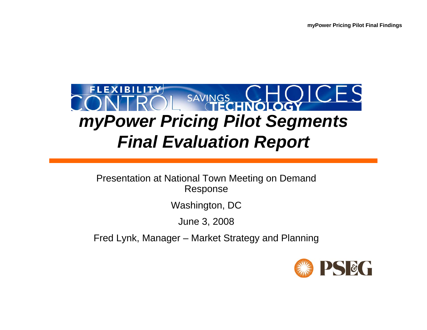

Presentation at National Town Meeting on Demand Response

Washington, DC

June 3, 2008

Fred Lynk, Manager – Market Strategy and Planning

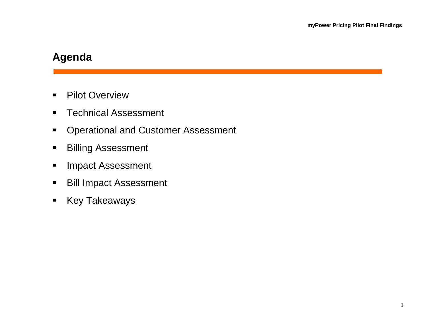# **Agenda**

- $\blacksquare$ **•** Pilot Overview
- $\blacksquare$ Technical Assessment
- $\blacksquare$ Operational and Customer Assessment
- $\blacksquare$ Billing Assessment
- $\blacksquare$ Impact Assessment
- $\blacksquare$ Bill Impact Assessment
- $\blacksquare$ Key Takeaways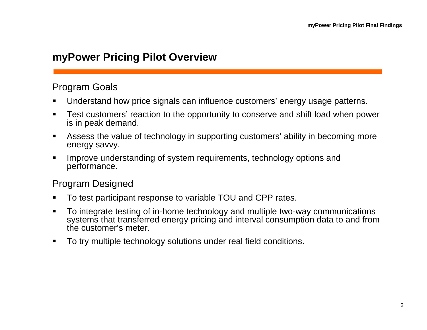#### **myPower Pricing Pilot Overview**

#### Program Goals

- $\blacksquare$ Understand how price signals can influence customers' energy usage patterns.
- п Test customers' reaction to the opportunity to conserve and shift load when power is in peak demand.
- $\blacksquare$  Assess the value of technology in supporting customers' ability in becoming more energy savvy.
- $\blacksquare$  Improve understanding of system requirements, technology options and performance.

#### Program Designed

- п To test participant response to variable TOU and CPP rates.
- $\blacksquare$  To integrate testing of in-home technology and multiple two-way communications systems that transferred energy pricing and interval consumption data to and from the customer's meter.
- $\blacksquare$ To try multiple technology solutions under real field conditions.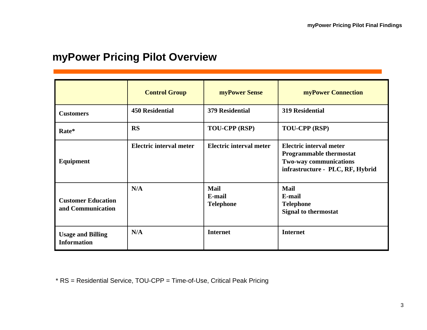## **myPower Pricing Pilot Overview**

|                                                | <b>Control Group</b>    | myPower Sense                             | <b>myPower Connection</b>                                                                                               |
|------------------------------------------------|-------------------------|-------------------------------------------|-------------------------------------------------------------------------------------------------------------------------|
| <b>Customers</b>                               | <b>450 Residential</b>  | <b>379 Residential</b>                    | <b>319 Residential</b>                                                                                                  |
| Rate*                                          | <b>RS</b>               | TOU-CPP (RSP)                             | TOU-CPP (RSP)                                                                                                           |
| Equipment                                      | Electric interval meter | Electric interval meter                   | Electric interval meter<br><b>Programmable thermostat</b><br>Two-way communications<br>infrastructure - PLC, RF, Hybrid |
| <b>Customer Education</b><br>and Communication | N/A                     | <b>Mail</b><br>E-mail<br><b>Telephone</b> | <b>Mail</b><br>E-mail<br><b>Telephone</b><br><b>Signal to thermostat</b>                                                |
| <b>Usage and Billing</b><br><b>Information</b> | N/A                     | <b>Internet</b>                           | <b>Internet</b>                                                                                                         |

\* RS = Residential Service, TOU-CPP = Time-of-Use, Critical Peak Pricing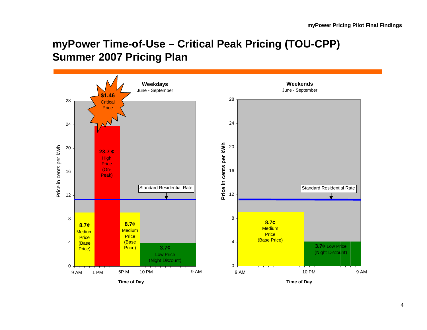# **myPower Time-of-Use – Critical Peak Pricing (TOU-CPP) Summer 2007 Pricing Plan**



4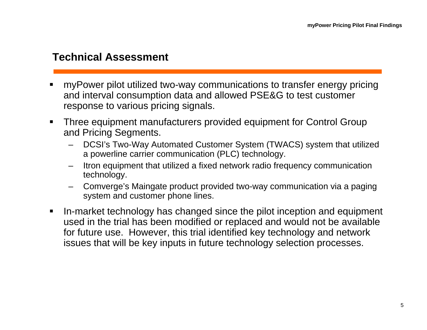### **Technical Assessment**

- myPower pilot utilized two-way communications to transfer energy pricing and interval consumption data and allowed PSE&G to test customer response to various pricing signals.
- $\blacksquare$  Three equipment manufacturers provided equipment for Control Group and Pricing Segments.
	- DCSI's Two-Way Automated Customer System (TWACS) system that utilized a powerline carrier communication (PLC) technology.
	- Itron equipment that utilized a fixed network radio frequency communication technology.
	- Comverge's Maingate product provided two-way communication via a paging system and customer phone lines.
- In-market technology has changed since the pilot inception and equipment used in the trial has been modified or replaced and would not be available for future use. However, this trial identified key technology and network issues that will be key inputs in future technology selection processes.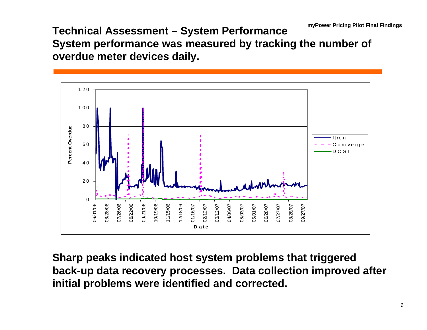**Technical Assessment – System Performance System performance was measured by tracking the number of overdue meter devices daily.**



**Sharp peaks indicated host system problems that triggered back-up data recovery processes. Data collection improved after initial problems were identified and corrected.**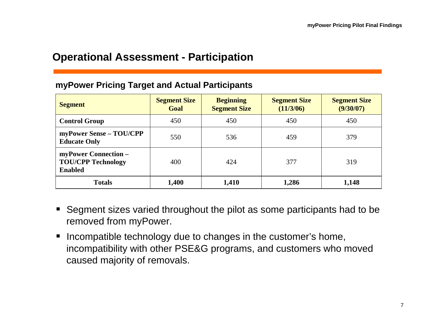#### **Operational Assessment - Participation**

#### **myPower Pricing Target and Actual Participants**

| <b>Segment</b>                                                      | <b>Segment Size</b><br>Goal | <b>Beginning</b><br><b>Segment Size</b> | <b>Segment Size</b><br>(11/3/06) | <b>Segment Size</b><br>(9/30/07) |
|---------------------------------------------------------------------|-----------------------------|-----------------------------------------|----------------------------------|----------------------------------|
| <b>Control Group</b>                                                | 450                         | 450                                     | 450                              | 450                              |
| myPower Sense - TOU/CPP<br><b>Educate Only</b>                      | 550                         | 536                                     | 459                              | 379                              |
| myPower Connection -<br><b>TOU/CPP Technology</b><br><b>Enabled</b> | 400                         | 424                                     | 377                              | 319                              |
| <b>Totals</b>                                                       | 1,400                       | 1,410                                   | 1,286                            | 1,148                            |

- Segment sizes varied throughout the pilot as some participants had to be removed from myPower.
- $\blacksquare$  Incompatible technology due to changes in the customer's home, incompatibility with other PSE&G programs, and customers who moved caused majority of removals.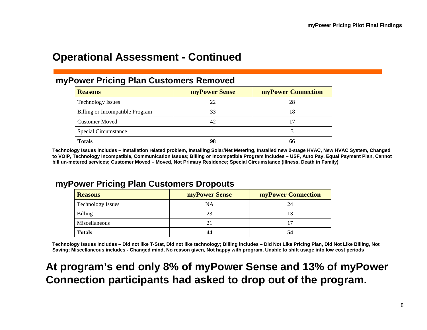### **Operational Assessment - Continued**

#### **myPower Pricing Plan Customers Removed**

| <b>Reasons</b>                         | <b>myPower Sense</b> | <b>myPower Connection</b> |  |  |  |
|----------------------------------------|----------------------|---------------------------|--|--|--|
| <b>Technology Issues</b>               | 22                   | 28                        |  |  |  |
| <b>Billing or Incompatible Program</b> | 33                   | 18                        |  |  |  |
| <b>Customer Moved</b>                  | 42                   |                           |  |  |  |
| <b>Special Circumstance</b>            |                      |                           |  |  |  |
| <b>Totals</b>                          | 98                   | 66                        |  |  |  |

**Technology Issues includes – Installation related problem, Installing Solar/Net Metering, Installed new 2-stage HVAC, New HVAC System, Changed to VOIP, Technology Incompatible, Communication Issues; Billing or Incompatible Program includes – USF, Auto Pay, Equal Payment Plan, Cannot bill un-metered services; Customer Moved – Moved, Not Primary Residence; Special Circumstance (Illness, Death in Family)**

#### **myPower Pricing Plan Customers Dropouts**

| <b>Reasons</b>           | <b>myPower Sense</b> | <b>myPower Connection</b> |  |  |  |
|--------------------------|----------------------|---------------------------|--|--|--|
| <b>Technology Issues</b> | NA                   | 24                        |  |  |  |
| Billing                  | 23                   |                           |  |  |  |
| Miscellaneous            |                      |                           |  |  |  |
| <b>Totals</b>            |                      | 54                        |  |  |  |

**Technology Issues includes – Did not like T-Stat, Did not like technology; Billing includes – Did Not Like Pricing Plan, Did Not Like Billing, Not Saving; Miscellaneous includes - Changed mind, No reason given, Not happy with program, Unable to shift usage into low cost periods**

# **At program's end only 8% of myPower Sense and 13% of myPower Connection participants had asked to drop out of the program.**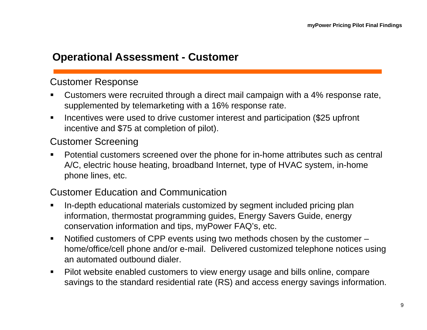#### **Operational Assessment - Customer**

#### Customer Response

- Customers were recruited through a direct mail campaign with a 4% response rate, supplemented by telemarketing with a 16% response rate.
- $\blacksquare$  Incentives were used to drive customer interest and participation (\$25 upfront incentive and \$75 at completion of pilot).

#### Customer Screening

 $\blacksquare$  Potential customers screened over the phone for in-home attributes such as central A/C, electric house heating, broadband Internet, type of HVAC system, in-home phone lines, etc.

#### Customer Education and Communication

- $\blacksquare$  In-depth educational materials customized by segment included pricing plan information, thermostat programming guides, Energy Savers Guide, energy conservation information and tips, myPower FAQ's, etc.
- $\blacksquare$  Notified customers of CPP events using two methods chosen by the customer – home/office/cell phone and/or e-mail. Delivered customized telephone notices using an automated outbound dialer.
- $\blacksquare$  Pilot website enabled customers to view energy usage and bills online, compare savings to the standard residential rate (RS) and access energy savings information.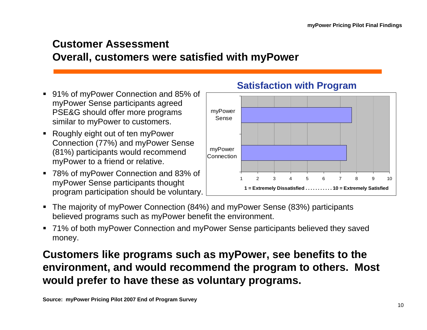# **Customer Assessment Overall, customers were satisfied with myPower**

- $\blacksquare$  91% of myPower Connection and 85% of myPower Sense participants agreed PSE&G should offer more programs similar to myPower to customers.
- $\blacksquare$  Roughly eight out of ten myPower Connection (77%) and myPower Sense (81%) participants would recommend myPower to a friend or relative.
- 78% of myPower Connection and 83% of myPower Sense participants thought program participation should be voluntary.



#### **Satisfaction with Program**

- $\blacksquare$  The majority of myPower Connection (84%) and myPower Sense (83%) participants believed programs such as myPower benefit the environment.
- $\blacksquare$  71% of both myPower Connection and myPower Sense participants believed they saved money.

# **Customers like programs such as myPower, see benefits to the environment, and would recommend the program to others. Most would prefer to have these as voluntary programs.**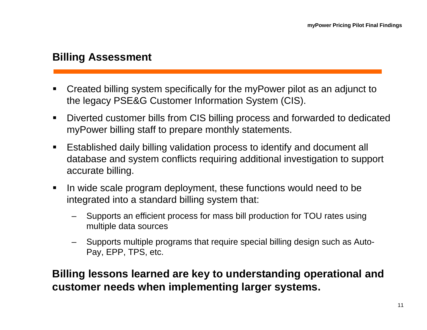## **Billing Assessment**

- Created billing system specifically for the myPower pilot as an adjunct to the legacy PSE&G Customer Information System (CIS).
- $\blacksquare$  Diverted customer bills from CIS billing process and forwarded to dedicated myPower billing staff to prepare monthly statements.
- $\blacksquare$  Established daily billing validation process to identify and document all database and system conflicts requiring additional investigation to support accurate billing.
- $\blacksquare$  In wide scale program deployment, these functions would need to be integrated into a standard billing system that:
	- Supports an efficient process for mass bill production for TOU rates using multiple data sources
	- Supports multiple programs that require special billing design such as Auto-Pay, EPP, TPS, etc.

# **Billing lessons learned are key to understanding operational and customer needs when implementing larger systems.**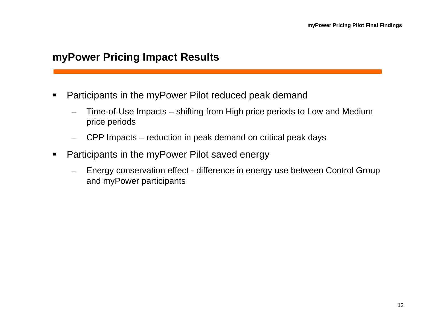#### **myPower Pricing Impact Results**

- п Participants in the myPower Pilot reduced peak demand
	- Time-of-Use Impacts shifting from High price periods to Low and Medium price periods
	- CPP Impacts reduction in peak demand on critical peak days
- $\blacksquare$  Participants in the myPower Pilot saved energy
	- Energy conservation effect difference in energy use between Control Group and myPower participants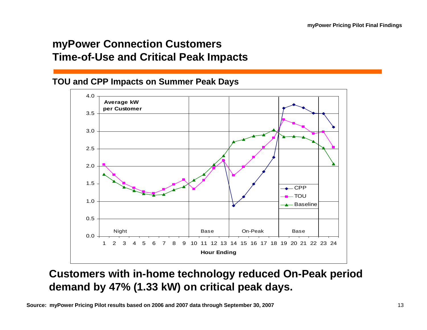# **myPower Connection Customers Time-of-Use and Critical Peak Impacts**

#### **TOU and CPP Impacts on Summer Peak Days**



## **Customers with in-home technology reduced On-Peak period demand by 47% (1.33 kW) on critical peak days.**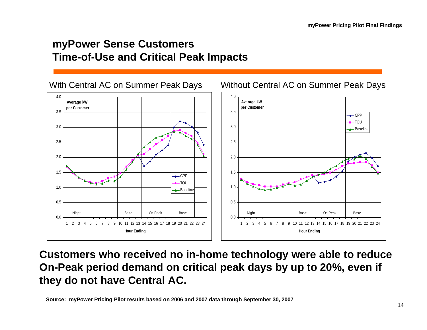## **myPower Sense Customers Time-of-Use and Critical Peak Impacts**



**Customers who received no in-home technology were able to reduce On-Peak period demand on critical peak days by up to 20%, even if they do not have Central AC.**

**Source: myPower Pricing Pilot results based on 2006 and 2007 data through September 30, 2007**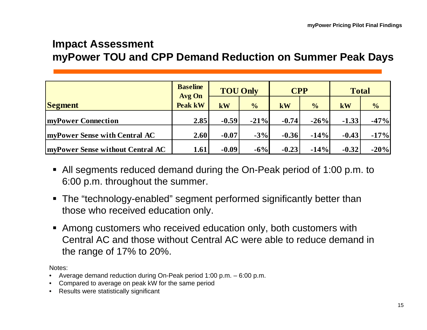### **Impact Assessment myPower TOU and CPP Demand Reduction on Summer Peak Days**

|                                          | <b>Baseline</b><br><b>Avg On</b> |         | <b>TOU Only</b> | <b>CPP</b> |               | <b>Total</b> |               |
|------------------------------------------|----------------------------------|---------|-----------------|------------|---------------|--------------|---------------|
| <b>Segment</b>                           | <b>Peak kW</b>                   | kW      | $\frac{1}{2}$   | kW         | $\frac{1}{2}$ | kW           | $\frac{6}{6}$ |
| <b>myPower Connection</b>                | 2.85                             | $-0.59$ | $-21%$          | $-0.74$    | $-26%$        | $-1.33$      | $-47%$        |
| <b>ImyPower Sense with Central AC</b>    | 2.60                             | $-0.07$ | $-3%$           | $-0.36$    | $-14%$        | $-0.43$      | $-17%$        |
| <b>ImyPower Sense without Central AC</b> | 1.61                             | $-0.09$ | $-6%$           | $-0.23$    | $-14%$        | $-0.32$      | $-20%$        |

- All segments reduced demand during the On-Peak period of 1:00 p.m. to 6:00 p.m. throughout the summer.
- The "technology-enabled" segment performed significantly better than those who received education only.
- Among customers who received education only, both customers with Central AC and those without Central AC were able to reduce demand in the range of 17% to 20%.

Notes:

- Average demand reduction during On-Peak period 1:00 p.m. 6:00 p.m.
- Compared to average on peak kW for the same period
- Results were statistically significant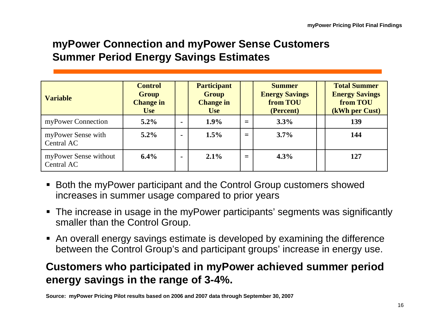# **myPower Connection and myPower Sense Customers Summer Period Energy Savings Estimates**

| <b>Variable</b>                     | <b>Control</b><br><b>Group</b><br><b>Change in</b><br><b>Use</b> |                | <b>Participant</b><br><b>Group</b><br><b>Change in</b><br><b>Use</b> |     | <b>Summer</b><br><b>Energy Savings</b><br>from TOU<br>(Percent) | <b>Total Summer</b><br><b>Energy Savings</b><br>from TOU<br>(kWh per Cust) |
|-------------------------------------|------------------------------------------------------------------|----------------|----------------------------------------------------------------------|-----|-----------------------------------------------------------------|----------------------------------------------------------------------------|
| myPower Connection                  | $5.2\%$                                                          | $\blacksquare$ | 1.9%                                                                 | $=$ | 3.3%                                                            | 139                                                                        |
| myPower Sense with<br>Central AC    | $5.2\%$                                                          | $\blacksquare$ | 1.5%                                                                 | $=$ | 3.7%                                                            | 144                                                                        |
| myPower Sense without<br>Central AC | $6.4\%$                                                          | $\blacksquare$ | 2.1%                                                                 | $=$ | 4.3%                                                            | 127                                                                        |

- Both the myPower participant and the Control Group customers showed increases in summer usage compared to prior years
- The increase in usage in the myPower participants' segments was significantly smaller than the Control Group.
- An overall energy savings estimate is developed by examining the difference between the Control Group's and participant groups' increase in energy use.

# **Customers who participated in myPower achieved summer period energy savings in the range of 3-4%.**

**Source: myPower Pricing Pilot results based on 2006 and 2007 data through September 30, 2007**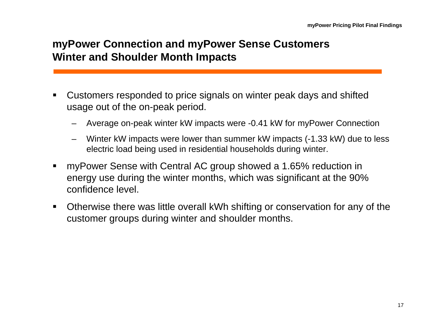# **myPower Connection and myPower Sense Customers Winter and Shoulder Month Impacts**

- Customers responded to price signals on winter peak days and shifted usage out of the on-peak period.
	- Average on-peak winter kW impacts were -0.41 kW for myPower Connection
	- Winter kW impacts were lower than summer kW impacts (-1.33 kW) due to less electric load being used in residential households during winter.
- myPower Sense with Central AC group showed a 1.65% reduction in energy use during the winter months, which was significant at the 90% confidence level.
- $\blacksquare$  Otherwise there was little overall kWh shifting or conservation for any of the customer groups during winter and shoulder months.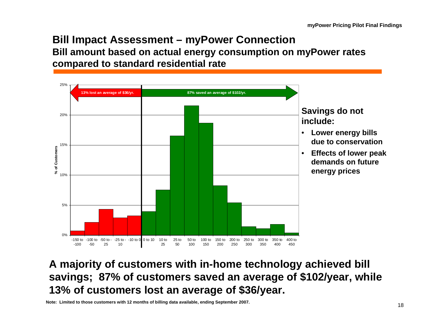#### **Bill Impact Assessment – myPower Connection Bill amount based on actual energy consumption on myPower rates compared to standard residential rate**



# **A majority of customers with in-home technology achieved bill savings; 87% of customers saved an average of \$102/year, while 13% of customers lost an average of \$36/year.**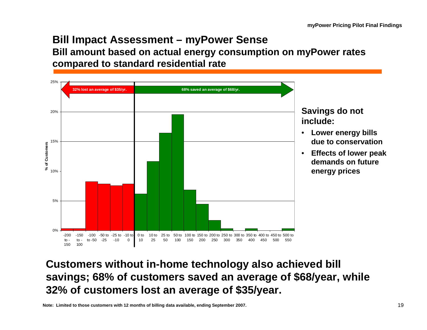#### **Bill Impact Assessment – myPower Sense Bill amount based on actual energy consumption on myPower rates compared to standard residential rate**



# **Customers without in-home technology also achieved bill savings; 68% of customers saved an average of \$68/year, while 32% of customers lost an average of \$35/year.**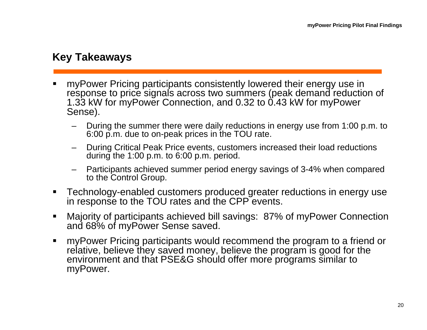# **Key Takeaways**

- myPower Pricing participants consistently lowered their energy use in response to price signals across two summers (peak demand reduction of 1.33 kW for myPower Connection, and 0.32 to 0.43 kW for myPower Sense).
	- During the summer there were daily reductions in energy use from 1:00 p.m. to 6:00 p.m. due to on-peak prices in the TOU rate.
	- During Critical Peak Price events, customers increased their load reductions during the 1:00 p.m. to 6:00 p.m. period.
	- Participants achieved summer period energy savings of 3-4% when compared to the Control Group.
- Technology-enabled customers produced greater reductions in energy use in response to the TOU rates and the CPP events.
- $\blacksquare$  Majority of participants achieved bill savings: 87% of myPower Connection and 68% of myPower Sense saved.
- $\blacksquare$  myPower Pricing participants would recommend the program to a friend or relative, believe they saved money, believe the program is good for the environment and that PSE&G should offer more programs similar to myPower.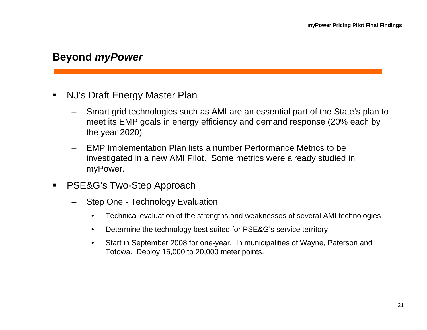### **Beyond** *myPower*

- NJ's Draft Energy Master Plan
	- Smart grid technologies such as AMI are an essential part of the State's plan to meet its EMP goals in energy efficiency and demand response (20% each by the year 2020)
	- EMP Implementation Plan lists a number Performance Metrics to be investigated in a new AMI Pilot. Some metrics were already studied in myPower.
- $\blacksquare$  PSE&G's Two-Step Approach
	- Step One Technology Evaluation
		- Technical evaluation of the strengths and weaknesses of several AMI technologies
		- Determine the technology best suited for PSE&G's service territory
		- Start in September 2008 for one-year. In municipalities of Wayne, Paterson and Totowa. Deploy 15,000 to 20,000 meter points.